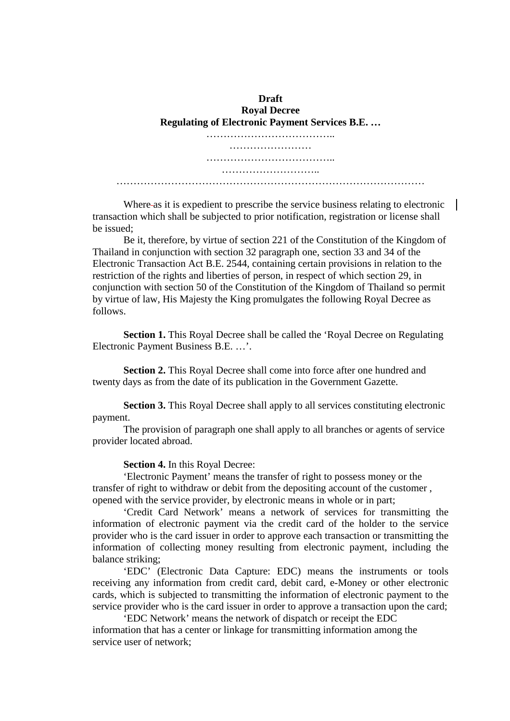**Draft Royal Decree Regulating of Electronic Payment Services B.E. …** ………………………………………… …………………… ……………………………….. ……………………….. ………………………………………………………………………………

Where-as it is expedient to prescribe the service business relating to electronic  $\parallel$ transaction which shall be subjected to prior notification, registration or license shall be issued;

Be it, therefore, by virtue of section 221 of the Constitution of the Kingdom of Thailand in conjunction with section 32 paragraph one, section 33 and 34 of the Electronic Transaction Act B.E. 2544, containing certain provisions in relation to the restriction of the rights and liberties of person, in respect of which section 29, in conjunction with section 50 of the Constitution of the Kingdom of Thailand so permit by virtue of law, His Majesty the King promulgates the following Royal Decree as follows.

**Section 1.** This Royal Decree shall be called the 'Royal Decree on Regulating Electronic Payment Business B.E. …'.

**Section 2.** This Royal Decree shall come into force after one hundred and twenty days as from the date of its publication in the Government Gazette.

**Section 3.** This Royal Decree shall apply to all services constituting electronic payment.

The provision of paragraph one shall apply to all branches or agents of service provider located abroad.

**Section 4.** In this Royal Decree:

'Electronic Payment' means the transfer of right to possess money or the transfer of right to withdraw or debit from the depositing account of the customer , opened with the service provider, by electronic means in whole or in part;

'Credit Card Network' means a network of services for transmitting the information of electronic payment via the credit card of the holder to the service provider who is the card issuer in order to approve each transaction or transmitting the information of collecting money resulting from electronic payment, including the balance striking;

'EDC' (Electronic Data Capture: EDC) means the instruments or tools receiving any information from credit card, debit card, e-Money or other electronic cards, which is subjected to transmitting the information of electronic payment to the service provider who is the card issuer in order to approve a transaction upon the card;

'EDC Network' means the network of dispatch or receipt the EDC information that has a center or linkage for transmitting information among the service user of network;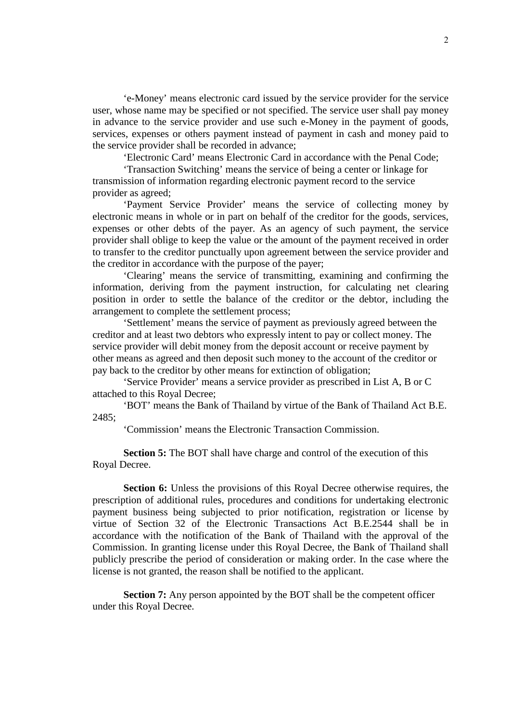'e-Money' means electronic card issued by the service provider for the service user, whose name may be specified or not specified. The service user shall pay money in advance to the service provider and use such e-Money in the payment of goods, services, expenses or others payment instead of payment in cash and money paid to the service provider shall be recorded in advance;

'Electronic Card' means Electronic Card in accordance with the Penal Code;

'Transaction Switching' means the service of being a center or linkage for transmission of information regarding electronic payment record to the service provider as agreed;

'Payment Service Provider' means the service of collecting money by electronic means in whole or in part on behalf of the creditor for the goods, services, expenses or other debts of the payer. As an agency of such payment, the service provider shall oblige to keep the value or the amount of the payment received in order to transfer to the creditor punctually upon agreement between the service provider and the creditor in accordance with the purpose of the payer;

'Clearing' means the service of transmitting, examining and confirming the information, deriving from the payment instruction, for calculating net clearing position in order to settle the balance of the creditor or the debtor, including the arrangement to complete the settlement process;

'Settlement' means the service of payment as previously agreed between the creditor and at least two debtors who expressly intent to pay or collect money. The service provider will debit money from the deposit account or receive payment by other means as agreed and then deposit such money to the account of the creditor or pay back to the creditor by other means for extinction of obligation;

'Service Provider' means a service provider as prescribed in List A, B or C attached to this Royal Decree;

'BOT' means the Bank of Thailand by virtue of the Bank of Thailand Act B.E. 2485;

'Commission' means the Electronic Transaction Commission.

**Section 5:** The BOT shall have charge and control of the execution of this Royal Decree.

**Section 6:** Unless the provisions of this Royal Decree otherwise requires, the prescription of additional rules, procedures and conditions for undertaking electronic payment business being subjected to prior notification, registration or license by virtue of Section 32 of the Electronic Transactions Act B.E.2544 shall be in accordance with the notification of the Bank of Thailand with the approval of the Commission. In granting license under this Royal Decree, the Bank of Thailand shall publicly prescribe the period of consideration or making order. In the case where the license is not granted, the reason shall be notified to the applicant.

**Section 7:** Any person appointed by the BOT shall be the competent officer under this Royal Decree.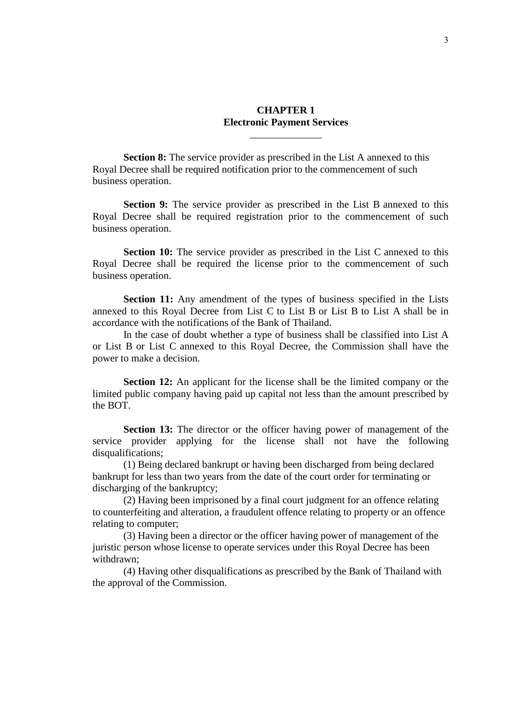## **CHAPTER 1 Electronic Payment Services**

\_\_\_\_\_\_\_\_\_\_\_\_\_\_

**Section 8:** The service provider as prescribed in the List A annexed to this Royal Decree shall be required notification prior to the commencement of such business operation.

**Section 9:** The service provider as prescribed in the List B annexed to this Royal Decree shall be required registration prior to the commencement of such business operation.

**Section 10:** The service provider as prescribed in the List C annexed to this Royal Decree shall be required the license prior to the commencement of such business operation.

**Section 11:** Any amendment of the types of business specified in the Lists annexed to this Royal Decree from List C to List B or List B to List A shall be in accordance with the notifications of the Bank of Thailand.

 In the case of doubt whether a type of business shall be classified into List A or List B or List C annexed to this Royal Decree, the Commission shall have the power to make a decision.

**Section 12:** An applicant for the license shall be the limited company or the limited public company having paid up capital not less than the amount prescribed by the BOT.

**Section 13:** The director or the officer having power of management of the service provider applying for the license shall not have the following disqualifications;

 (1) Being declared bankrupt or having been discharged from being declared bankrupt for less than two years from the date of the court order for terminating or discharging of the bankruptcy;

 (2) Having been imprisoned by a final court judgment for an offence relating to counterfeiting and alteration, a fraudulent offence relating to property or an offence relating to computer;

 (3) Having been a director or the officer having power of management of the juristic person whose license to operate services under this Royal Decree has been withdrawn;

 (4) Having other disqualifications as prescribed by the Bank of Thailand with the approval of the Commission.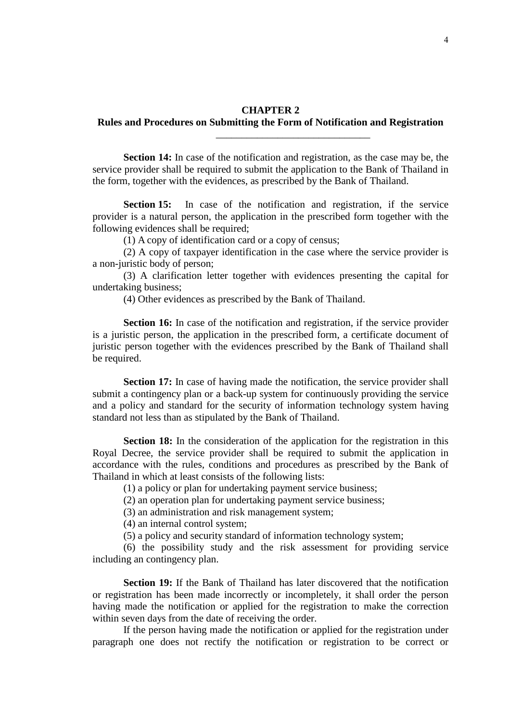#### **CHAPTER 2**

### **Rules and Procedures on Submitting the Form of Notification and Registration**

\_\_\_\_\_\_\_\_\_\_\_\_\_\_\_\_\_\_\_\_\_\_\_\_\_\_\_\_\_\_

**Section 14:** In case of the notification and registration, as the case may be, the service provider shall be required to submit the application to the Bank of Thailand in the form, together with the evidences, as prescribed by the Bank of Thailand.

**Section 15:** In case of the notification and registration, if the service provider is a natural person, the application in the prescribed form together with the following evidences shall be required;

(1) A copy of identification card or a copy of census;

 (2) A copy of taxpayer identification in the case where the service provider is a non-juristic body of person;

 (3) A clarification letter together with evidences presenting the capital for undertaking business;

(4) Other evidences as prescribed by the Bank of Thailand.

**Section 16:** In case of the notification and registration, if the service provider is a juristic person, the application in the prescribed form, a certificate document of juristic person together with the evidences prescribed by the Bank of Thailand shall be required.

**Section 17:** In case of having made the notification, the service provider shall submit a contingency plan or a back-up system for continuously providing the service and a policy and standard for the security of information technology system having standard not less than as stipulated by the Bank of Thailand.

**Section 18:** In the consideration of the application for the registration in this Royal Decree, the service provider shall be required to submit the application in accordance with the rules, conditions and procedures as prescribed by the Bank of Thailand in which at least consists of the following lists:

(1) a policy or plan for undertaking payment service business;

(2) an operation plan for undertaking payment service business;

(3) an administration and risk management system;

(4) an internal control system;

(5) a policy and security standard of information technology system;

 (6) the possibility study and the risk assessment for providing service including an contingency plan.

**Section 19:** If the Bank of Thailand has later discovered that the notification or registration has been made incorrectly or incompletely, it shall order the person having made the notification or applied for the registration to make the correction within seven days from the date of receiving the order.

 If the person having made the notification or applied for the registration under paragraph one does not rectify the notification or registration to be correct or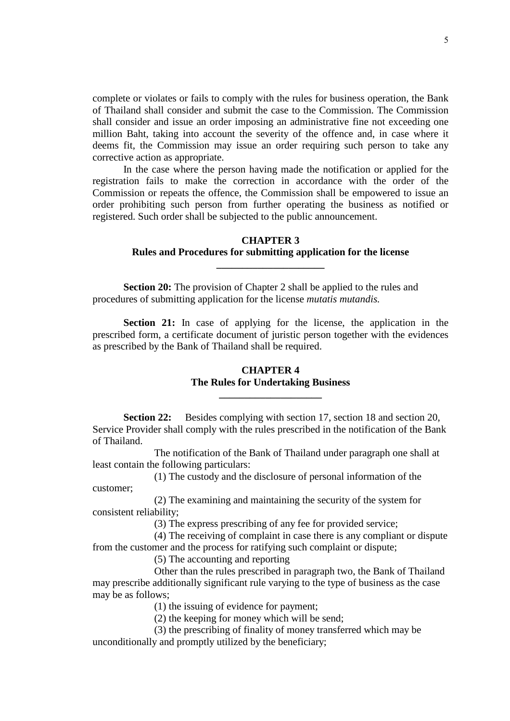complete or violates or fails to comply with the rules for business operation, the Bank of Thailand shall consider and submit the case to the Commission. The Commission shall consider and issue an order imposing an administrative fine not exceeding one million Baht, taking into account the severity of the offence and, in case where it deems fit, the Commission may issue an order requiring such person to take any corrective action as appropriate.

 In the case where the person having made the notification or applied for the registration fails to make the correction in accordance with the order of the Commission or repeats the offence, the Commission shall be empowered to issue an order prohibiting such person from further operating the business as notified or registered. Such order shall be subjected to the public announcement.

### **CHAPTER 3 Rules and Procedures for submitting application for the license**

**\_\_\_\_\_\_\_\_\_\_\_\_\_\_\_\_\_\_\_\_\_** 

**Section 20:** The provision of Chapter 2 shall be applied to the rules and procedures of submitting application for the license *mutatis mutandis.*

**Section 21:** In case of applying for the license, the application in the prescribed form, a certificate document of juristic person together with the evidences as prescribed by the Bank of Thailand shall be required.

## **CHAPTER 4 The Rules for Undertaking Business**

**\_\_\_\_\_\_\_\_\_\_\_\_\_\_\_\_\_\_\_\_** 

**Section 22:** Besides complying with section 17, section 18 and section 20, Service Provider shall comply with the rules prescribed in the notification of the Bank of Thailand.

 The notification of the Bank of Thailand under paragraph one shall at least contain the following particulars:

 (1) The custody and the disclosure of personal information of the customer;

 (2) The examining and maintaining the security of the system for consistent reliability;

(3) The express prescribing of any fee for provided service;

 (4) The receiving of complaint in case there is any compliant or dispute from the customer and the process for ratifying such complaint or dispute;

(5) The accounting and reporting

 Other than the rules prescribed in paragraph two, the Bank of Thailand may prescribe additionally significant rule varying to the type of business as the case may be as follows;

(1) the issuing of evidence for payment;

(2) the keeping for money which will be send;

 (3) the prescribing of finality of money transferred which may be unconditionally and promptly utilized by the beneficiary;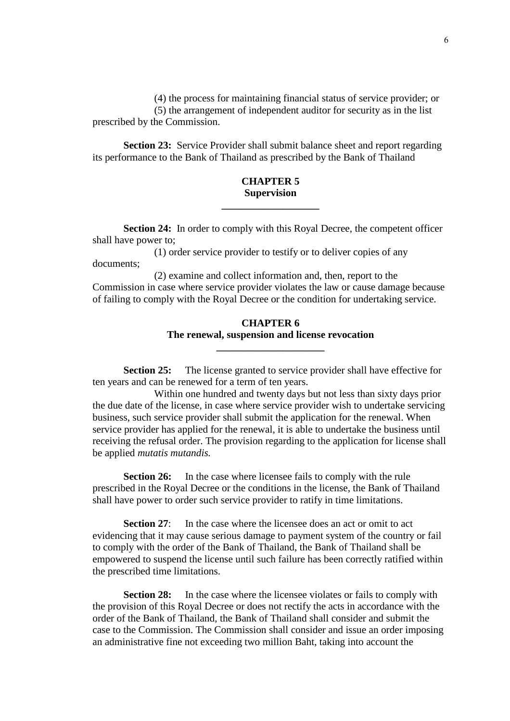(4) the process for maintaining financial status of service provider; or (5) the arrangement of independent auditor for security as in the list prescribed by the Commission.

**Section 23:** Service Provider shall submit balance sheet and report regarding its performance to the Bank of Thailand as prescribed by the Bank of Thailand

## **CHAPTER 5 Supervision**

**\_\_\_\_\_\_\_\_\_\_\_\_\_\_\_\_\_\_\_** 

**Section 24:** In order to comply with this Royal Decree, the competent officer shall have power to;

 (1) order service provider to testify or to deliver copies of any documents;

 (2) examine and collect information and, then, report to the Commission in case where service provider violates the law or cause damage because of failing to comply with the Royal Decree or the condition for undertaking service.

# **CHAPTER 6 The renewal, suspension and license revocation**

**\_\_\_\_\_\_\_\_\_\_\_\_\_\_\_\_\_\_\_\_\_** 

**Section 25:** The license granted to service provider shall have effective for ten years and can be renewed for a term of ten years.

 Within one hundred and twenty days but not less than sixty days prior the due date of the license, in case where service provider wish to undertake servicing business, such service provider shall submit the application for the renewal. When service provider has applied for the renewal, it is able to undertake the business until receiving the refusal order. The provision regarding to the application for license shall be applied *mutatis mutandis.* 

**Section 26:** In the case where licensee fails to comply with the rule prescribed in the Royal Decree or the conditions in the license, the Bank of Thailand shall have power to order such service provider to ratify in time limitations.

**Section 27:** In the case where the licensee does an act or omit to act evidencing that it may cause serious damage to payment system of the country or fail to comply with the order of the Bank of Thailand, the Bank of Thailand shall be empowered to suspend the license until such failure has been correctly ratified within the prescribed time limitations.

**Section 28:** In the case where the licensee violates or fails to comply with the provision of this Royal Decree or does not rectify the acts in accordance with the order of the Bank of Thailand, the Bank of Thailand shall consider and submit the case to the Commission. The Commission shall consider and issue an order imposing an administrative fine not exceeding two million Baht, taking into account the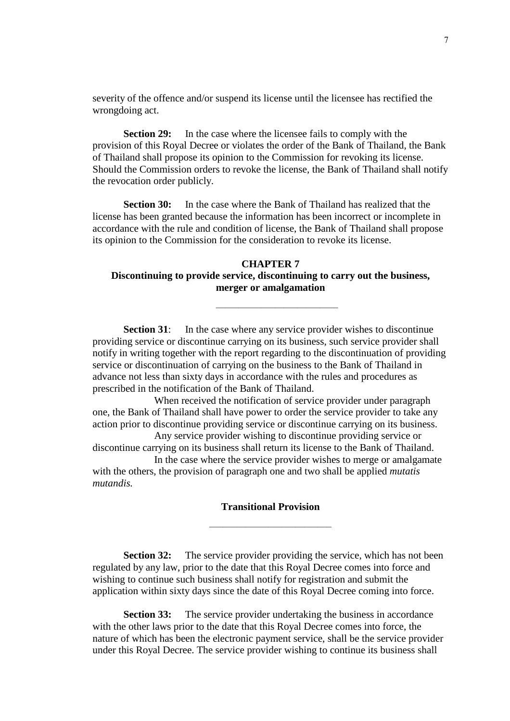severity of the offence and/or suspend its license until the licensee has rectified the wrongdoing act.

**Section 29:** In the case where the licensee fails to comply with the provision of this Royal Decree or violates the order of the Bank of Thailand, the Bank of Thailand shall propose its opinion to the Commission for revoking its license. Should the Commission orders to revoke the license, the Bank of Thailand shall notify the revocation order publicly.

**Section 30:** In the case where the Bank of Thailand has realized that the license has been granted because the information has been incorrect or incomplete in accordance with the rule and condition of license, the Bank of Thailand shall propose its opinion to the Commission for the consideration to revoke its license.

## **CHAPTER 7 Discontinuing to provide service, discontinuing to carry out the business, merger or amalgamation**

 $\mathcal{L}_\text{max}$  and  $\mathcal{L}_\text{max}$  and  $\mathcal{L}_\text{max}$  and  $\mathcal{L}_\text{max}$ 

**Section 31:** In the case where any service provider wishes to discontinue providing service or discontinue carrying on its business, such service provider shall notify in writing together with the report regarding to the discontinuation of providing service or discontinuation of carrying on the business to the Bank of Thailand in advance not less than sixty days in accordance with the rules and procedures as prescribed in the notification of the Bank of Thailand.

 When received the notification of service provider under paragraph one, the Bank of Thailand shall have power to order the service provider to take any action prior to discontinue providing service or discontinue carrying on its business.

 Any service provider wishing to discontinue providing service or discontinue carrying on its business shall return its license to the Bank of Thailand.

 In the case where the service provider wishes to merge or amalgamate with the others, the provision of paragraph one and two shall be applied *mutatis mutandis.* 

|  |  | <b>Transitional Provision</b> |  |
|--|--|-------------------------------|--|
|  |  |                               |  |
|  |  |                               |  |

**Section 32:** The service provider providing the service, which has not been regulated by any law, prior to the date that this Royal Decree comes into force and wishing to continue such business shall notify for registration and submit the application within sixty days since the date of this Royal Decree coming into force.

**Section 33:** The service provider undertaking the business in accordance with the other laws prior to the date that this Royal Decree comes into force, the nature of which has been the electronic payment service, shall be the service provider under this Royal Decree. The service provider wishing to continue its business shall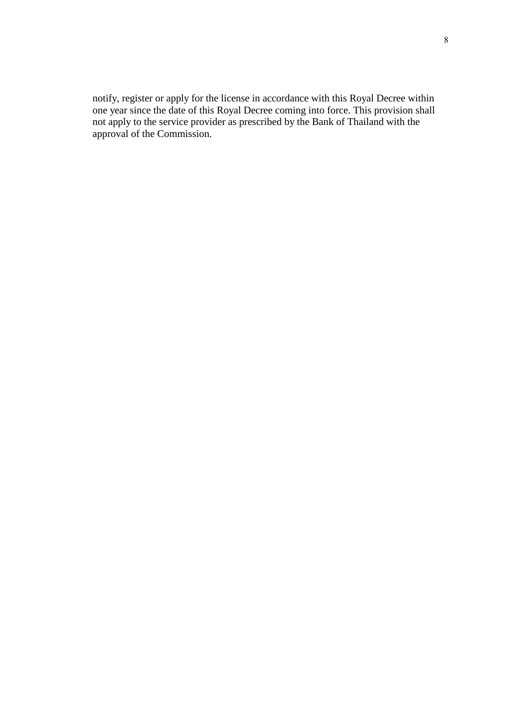notify, register or apply for the license in accordance with this Royal Decree within one year since the date of this Royal Decree coming into force. This provision shall not apply to the service provider as prescribed by the Bank of Thailand with the approval of the Commission.